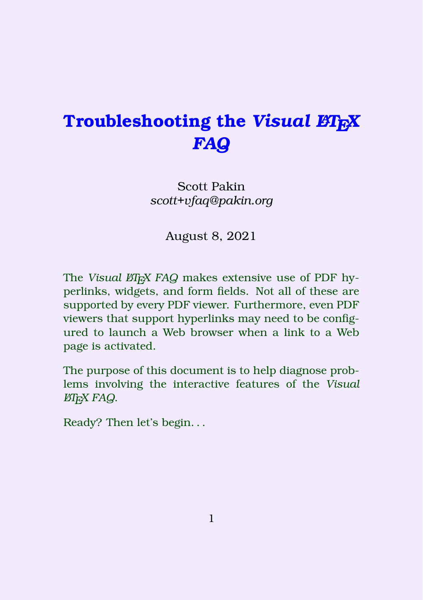# <span id="page-0-0"></span>**Troubleshooting the** *Visual LATEX FAQ*

#### Scott Pakin *scott+vfaq@pakin.org*

August 8, 2021

The *Visual LA<sub>F</sub>X FAQ* makes extensive use of PDF hyperlinks, widgets, and form fields. Not all of these are supported by every PDF viewer. Furthermore, even PDF viewers that support hyperlinks may need to be configured to launch a Web browser when a link to a Web page is activated.

The purpose of this document is to help diagnose problems involving the interactive features of the *Visual LATEX FAQ*.

Ready? Then let's begin. . .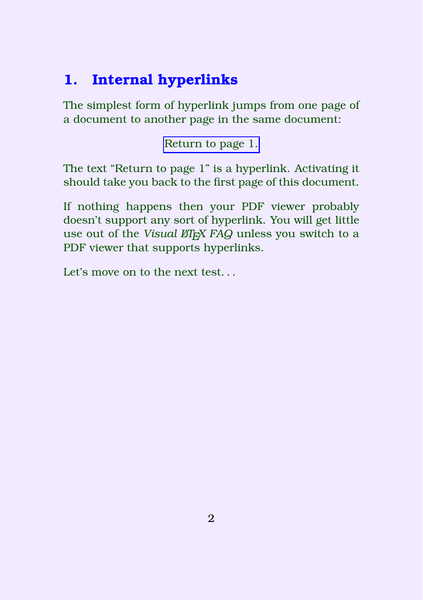### **1. Internal hyperlinks**

The simplest form of hyperlink jumps from one page of a document to another page in the same document:

[Return to page 1.](#page-0-0)

The text "Return to page 1" is a hyperlink. Activating it should take you back to the first page of this document.

If nothing happens then your PDF viewer probably doesn't support any sort of hyperlink. You will get little use out of the *Visual LARX FAQ* unless you switch to a PDF viewer that supports hyperlinks.

Let's move on to the next test.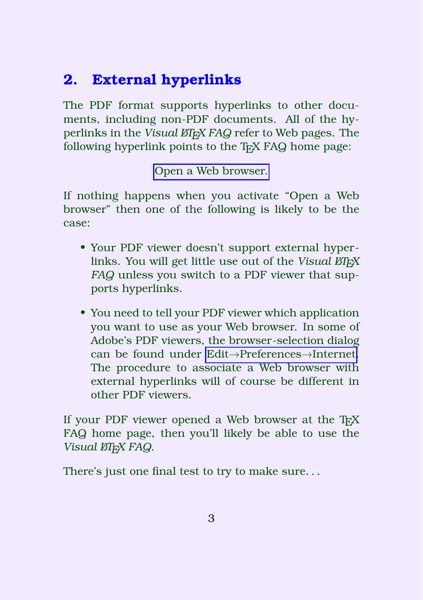## **2. External hyperlinks**

The PDF format supports hyperlinks to other documents, including non-PDF documents. All of the hyperlinks in the *Visual LA<sub>F</sub>X FAQ* refer to Web pages. The following hyperlink points to the T<sub>E</sub>X FAQ home page:

[Open a Web browser.](https://texfaq.org/)

If nothing happens when you activate "Open a Web browser" then one of the following is likely to be the case:

- Your PDF viewer doesn't support external hyperlinks. You will get little use out of the *Visual LA*<sub>*FX*</sub> *FAQ* unless you switch to a PDF viewer that supports hyperlinks.
- You need to tell your PDF viewer which application you want to use as your Web browser. In some of Adobe's PDF viewers, the browser-selection dialog can be found under Edit→Preferences→Internet. The procedure to associate a Web browser with external hyperlinks will of course be different in other PDF viewers.

If your PDF viewer opened a Web browser at the  $T_F X$ FAQ home page, then you'll likely be able to use the *Visual LA<sub><i>TEX FAQ*.</sub>

There's just one final test to try to make sure. . .